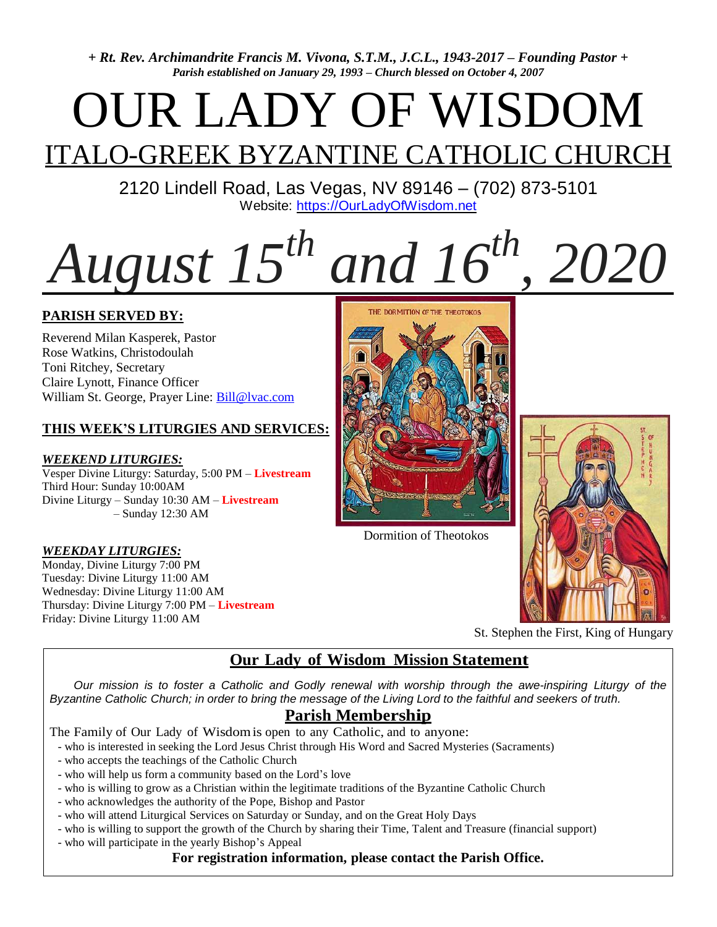*+ Rt. Rev. Archimandrite Francis M. Vivona, S.T.M., J.C.L., 1943-2017 – Founding Pastor + Parish established on January 29, 1993 – Church blessed on October 4, 2007*

# OUR LADY OF WISDOM

## **ITALO-GREEK BYZANTINE CATHOLIC CHURCH**

2120 Lindell Road, Las Vegas, NV 89146 – (702) 873-5101 Website: [https://OurLadyOfWisdom.net](https://ourladyofwisdom.net/)

# *August 15th and 16th, 2020*

#### **PARISH SERVED BY:**

Reverend Milan Kasperek, Pastor Rose Watkins, Christodoulah Toni Ritchey, Secretary Claire Lynott, Finance Officer William St. George, Prayer Line: [Bill@lvac.com](mailto:Bill@lvac.com)

#### **THIS WEEK'S LITURGIES AND SERVICES:**

#### *WEEKEND LITURGIES:*

Vesper Divine Liturgy: Saturday, 5:00 PM – **Livestream** Third Hour: Sunday 10:00AM Divine Liturgy – Sunday 10:30 AM – **Livestream** – Sunday 12:30 AM

#### *WEEKDAY LITURGIES:*

Monday, Divine Liturgy 7:00 PM Tuesday: Divine Liturgy 11:00 AM Wednesday: Divine Liturgy 11:00 AM Thursday: Divine Liturgy 7:00 PM – **Livestream** Friday: Divine Liturgy 11:00 AM



Dormition of Theotokos



St. Stephen the First, King of Hungary

#### **Our Lady of Wisdom Mission Statement**

Our mission is to foster a Catholic and Godly renewal with worship through the awe-inspiring Liturgy of the Byzantine Catholic Church; in order to bring the message of the Living Lord to the faithful and seekers of truth.

#### **Parish Membership**

The Family of Our Lady of Wisdomis open to any Catholic, and to anyone:

- who is interested in seeking the Lord Jesus Christ through His Word and Sacred Mysteries (Sacraments)

- who accepts the teachings of the Catholic Church
- who will help us form a community based on the Lord's love
- who is willing to grow as a Christian within the legitimate traditions of the Byzantine Catholic Church
- who acknowledges the authority of the Pope, Bishop and Pastor
- who will attend Liturgical Services on Saturday or Sunday, and on the Great Holy Days
- who is willing to support the growth of the Church by sharing their Time, Talent and Treasure (financial support)
- who will participate in the yearly Bishop's Appeal

#### **For registration information, please contact the Parish Office.**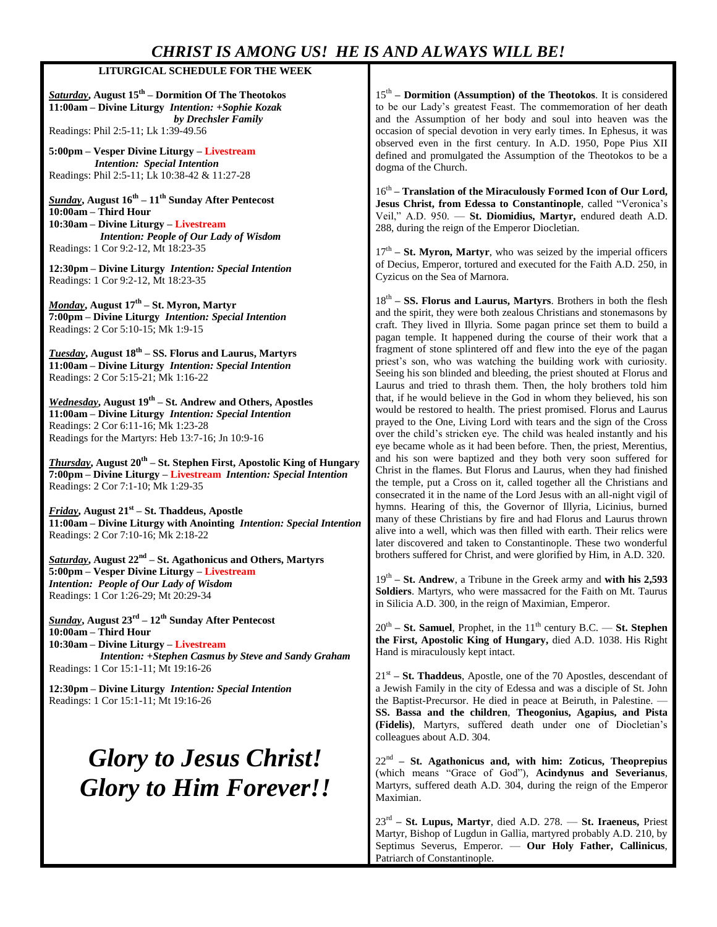#### *CHRIST IS AMONG US! HE IS AND ALWAYS WILL BE!*

#### **LITURGICAL SCHEDULE FOR THE WEEK**

*Saturday***, August 15th – Dormition Of The Theotokos 11:00am – Divine Liturgy** *Intention: +Sophie Kozak by Drechsler Family* Readings: Phil 2:5-11; Lk 1:39-49.56

**5:00pm – Vesper Divine Liturgy – Livestream** *Intention: Special Intention* Readings: Phil 2:5-11; Lk 10:38-42 & 11:27-28

*Sunday***, August 16th – 11th Sunday After Pentecost 10:00am – Third Hour 10:30am – Divine Liturgy – Livestream** *Intention: People of Our Lady of Wisdom* Readings: 1 Cor 9:2-12, Mt 18:23-35

**12:30pm – Divine Liturgy** *Intention: Special Intention* Readings: 1 Cor 9:2-12, Mt 18:23-35

*Monday***, August 17th – St. Myron, Martyr 7:00pm – Divine Liturgy** *Intention: Special Intention* Readings: 2 Cor 5:10-15; Mk 1:9-15

*Tuesday***, August 18th – SS. Florus and Laurus, Martyrs 11:00am – Divine Liturgy** *Intention: Special Intention* Readings: 2 Cor 5:15-21; Mk 1:16-22

*Wednesday***, August 19th – St. Andrew and Others, Apostles 11:00am – Divine Liturgy** *Intention: Special Intention* Readings: 2 Cor 6:11-16; Mk 1:23-28 Readings for the Martyrs: Heb 13:7-16; Jn 10:9-16

*Thursday***, August 20th – St. Stephen First, Apostolic King of Hungary 7:00pm – Divine Liturgy – Livestream** *Intention: Special Intention* Readings: 2 Cor 7:1-10; Mk 1:29-35

*Friday***, August 21st – St. Thaddeus, Apostle 11:00am – Divine Liturgy with Anointing** *Intention: Special Intention* Readings: 2 Cor 7:10-16; Mk 2:18-22

*Saturday***, August 22nd – St. Agathonicus and Others, Martyrs 5:00pm – Vesper Divine Liturgy – Livestream** *Intention: People of Our Lady of Wisdom* Readings: 1 Cor 1:26-29; Mt 20:29-34

*Sunday***, August 23rd – 12th Sunday After Pentecost 10:00am – Third Hour 10:30am – Divine Liturgy – Livestream** *Intention: +Stephen Casmus by Steve and Sandy Graham* Readings: 1 Cor 15:1-11; Mt 19:16-26

**12:30pm – Divine Liturgy** *Intention: Special Intention* Readings: 1 Cor 15:1-11; Mt 19:16-26

### *Glory to Jesus Christ! Glory to Him Forever!!*

15<sup>th</sup> – **Dormition (Assumption) of the Theotokos**. It is considered to be our Lady's greatest Feast. The commemoration of her death and the Assumption of her body and soul into heaven was the occasion of special devotion in very early times. In Ephesus, it was observed even in the first century. In A.D. 1950, Pope Pius XII defined and promulgated the Assumption of the Theotokos to be a dogma of the Church.

16th **– Translation of the Miraculously Formed Icon of Our Lord, Jesus Christ, from Edessa to Constantinople**, called "Veronica's Veil," A.D. 950. — **St. Diomidius, Martyr,** endured death A.D. 288, during the reign of the Emperor Diocletian.

17<sup>th</sup> – **St. Myron, Martyr**, who was seized by the imperial officers of Decius, Emperor, tortured and executed for the Faith A.D. 250, in Cyzicus on the Sea of Marnora.

18<sup>th</sup> – **SS. Florus and Laurus, Martyrs**. Brothers in both the flesh and the spirit, they were both zealous Christians and stonemasons by craft. They lived in Illyria. Some pagan prince set them to build a pagan temple. It happened during the course of their work that a fragment of stone splintered off and flew into the eye of the pagan priest's son, who was watching the building work with curiosity. Seeing his son blinded and bleeding, the priest shouted at Florus and Laurus and tried to thrash them. Then, the holy brothers told him that, if he would believe in the God in whom they believed, his son would be restored to health. The priest promised. Florus and Laurus prayed to the One, Living Lord with tears and the sign of the Cross over the child's stricken eye. The child was healed instantly and his eye became whole as it had been before. Then, the priest, Merentius, and his son were baptized and they both very soon suffered for Christ in the flames. But Florus and Laurus, when they had finished the temple, put a Cross on it, called together all the Christians and consecrated it in the name of the Lord Jesus with an all-night vigil of hymns. Hearing of this, the Governor of Illyria, Licinius, burned many of these Christians by fire and had Florus and Laurus thrown alive into a well, which was then filled with earth. Their relics were later discovered and taken to Constantinople. These two wonderful brothers suffered for Christ, and were glorified by Him, in A.D. 320.

19th **– St. Andrew**, a Tribune in the Greek army and **with his 2,593 Soldiers**. Martyrs, who were massacred for the Faith on Mt. Taurus in Silicia A.D. 300, in the reign of Maximian, Emperor.

20<sup>th</sup> – **St. Samuel**, Prophet, in the 11<sup>th</sup> century B.C. — **St. Stephen the First, Apostolic King of Hungary,** died A.D. 1038. His Right Hand is miraculously kept intact.

21st **– St. Thaddeus**, Apostle, one of the 70 Apostles, descendant of a Jewish Family in the city of Edessa and was a disciple of St. John the Baptist-Precursor. He died in peace at Beiruth, in Palestine. — **SS. Bassa and the children**, **Theogonius, Agapius, and Pista (Fidelis)**, Martyrs, suffered death under one of Diocletian's colleagues about A.D. 304.

22nd **– St. Agathonicus and, with him: Zoticus, Theoprepius** (which means "Grace of God"), **Acindynus and Severianus**, Martyrs, suffered death A.D. 304, during the reign of the Emperor Maximian.

23rd **– St. Lupus, Martyr**, died A.D. 278. — **St. Iraeneus,** Priest Martyr, Bishop of Lugdun in Gallia, martyred probably A.D. 210, by Septimus Severus, Emperor. — **Our Holy Father, Callinicus**, Patriarch of Constantinople.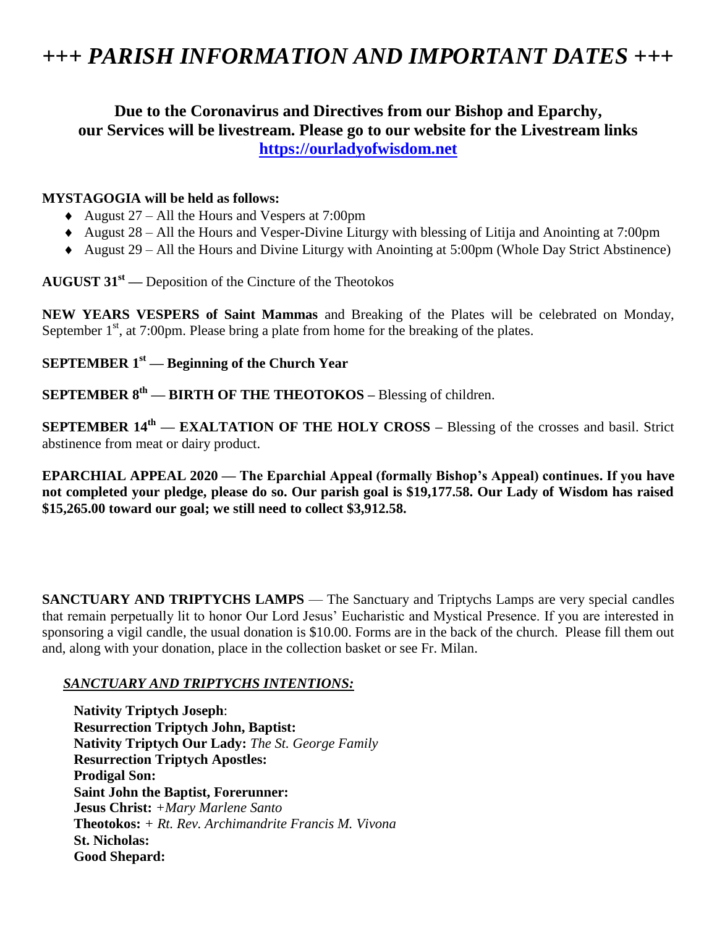### *+++ PARISH INFORMATION AND IMPORTANT DATES +++*

#### **Due to the Coronavirus and Directives from our Bishop and Eparchy, our Services will be livestream. Please go to our website for the Livestream links [https://ourladyofwisdom.net](https://ourladyofwisdom.net/)**

#### **MYSTAGOGIA will be held as follows:**

- August  $27 -$  All the Hours and Vespers at 7:00pm
- August  $28 -$ All the Hours and Vesper-Divine Liturgy with blessing of Litija and Anointing at 7:00pm
- August 29 All the Hours and Divine Liturgy with Anointing at 5:00pm (Whole Day Strict Abstinence)

**AUGUST 31st —** Deposition of the Cincture of the Theotokos

**NEW YEARS VESPERS of Saint Mammas** and Breaking of the Plates will be celebrated on Monday, September  $1<sup>st</sup>$ , at 7:00pm. Please bring a plate from home for the breaking of the plates.

#### **SEPTEMBER 1st — Beginning of the Church Year**

#### **SEPTEMBER 8th — BIRTH OF THE THEOTOKOS –** Blessing of children.

**SEPTEMBER 14<sup>th</sup>** — **EXALTATION OF THE HOLY CROSS** – Blessing of the crosses and basil. Strict abstinence from meat or dairy product.

**EPARCHIAL APPEAL 2020 — The Eparchial Appeal (formally Bishop's Appeal) continues. If you have not completed your pledge, please do so. Our parish goal is \$19,177.58. Our Lady of Wisdom has raised \$15,265.00 toward our goal; we still need to collect \$3,912.58.**

**SANCTUARY AND TRIPTYCHS LAMPS** — The Sanctuary and Triptychs Lamps are very special candles that remain perpetually lit to honor Our Lord Jesus' Eucharistic and Mystical Presence. If you are interested in sponsoring a vigil candle, the usual donation is \$10.00. Forms are in the back of the church. Please fill them out and, along with your donation, place in the collection basket or see Fr. Milan.

#### *SANCTUARY AND TRIPTYCHS INTENTIONS:*

**Nativity Triptych Joseph**: **Resurrection Triptych John, Baptist: Nativity Triptych Our Lady:** *The St. George Family* **Resurrection Triptych Apostles: Prodigal Son: Saint John the Baptist, Forerunner: Jesus Christ:** *+Mary Marlene Santo* **Theotokos:** *+ Rt. Rev. Archimandrite Francis M. Vivona* **St. Nicholas: Good Shepard:**